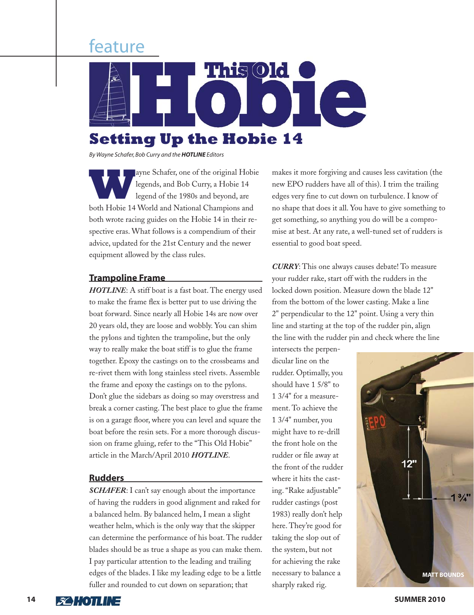# feature



*By Wayne Schafer, Bob Curry and the HOTLINE Editors*

ayne Schafer, one of the original Hobie<br>legends, and Bob Curry, a Hobie 14<br>legend of the 1980s and beyond, are legends, and Bob Curry, a Hobie 14 legend of the 1980s and beyond, are both Hobie 14 World and National Champions and both wrote racing guides on the Hobie 14 in their respective eras. What follows is a compendium of their advice, updated for the 21st Century and the newer equipment allowed by the class rules.

#### **Trampoline Frame**

*HOTLINE*: A stiff boat is a fast boat. The energy used to make the frame flex is better put to use driving the boat forward. Since nearly all Hobie 14s are now over 20 years old, they are loose and wobbly. You can shim the pylons and tighten the trampoline, but the only way to really make the boat stiff is to glue the frame together. Epoxy the castings on to the crossbeams and re-rivet them with long stainless steel rivets. Assemble the frame and epoxy the castings on to the pylons. Don't glue the sidebars as doing so may overstress and break a corner casting. The best place to glue the frame is on a garage floor, where you can level and square the boat before the resin sets. For a more thorough discussion on frame gluing, refer to the "This Old Hobie" article in the March/April 2010 *HOTLINE*.

#### **Rudders**

*SCHAFER*: I can't say enough about the importance of having the rudders in good alignment and raked for a balanced helm. By balanced helm, I mean a slight weather helm, which is the only way that the skipper can determine the performance of his boat. The rudder blades should be as true a shape as you can make them. I pay particular attention to the leading and trailing edges of the blades. I like my leading edge to be a little fuller and rounded to cut down on separation; that

makes it more forgiving and causes less cavitation (the new EPO rudders have all of this). I trim the trailing edges very fine to cut down on turbulence. I know of no shape that does it all. You have to give something to get something, so anything you do will be a compromise at best. At any rate, a well-tuned set of rudders is essential to good boat speed.

*CURRY*: This one always causes debate! To measure your rudder rake, start off with the rudders in the locked down position. Measure down the blade 12" from the bottom of the lower casting. Make a line 2" perpendicular to the 12" point. Using a very thin line and starting at the top of the rudder pin, align the line with the rudder pin and check where the line

intersects the perpendicular line on the rudder. Optimally, you should have 1 5/8" to 1 3/4" for a measurement. To achieve the 1 3/4" number, you might have to re-drill the front hole on the rudder or file away at the front of the rudder where it hits the casting. "Rake adjustable" rudder castings (post 1983) really don't help here. They're good for taking the slop out of the system, but not for achieving the rake necessary to balance a sharply raked rig.



**14 SOMMER 2010**<br>**14 SOMMER 2010**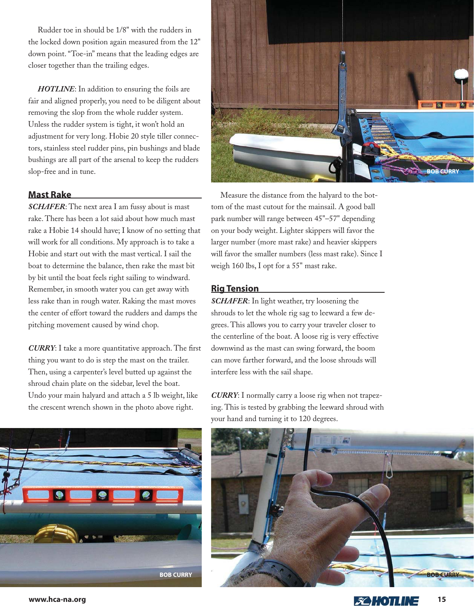Rudder toe in should be 1/8" with the rudders in the locked down position again measured from the 12" down point. "Toe-in" means that the leading edges are closer together than the trailing edges.

*HOTLINE*: In addition to ensuring the foils are fair and aligned properly, you need to be diligent about removing the slop from the whole rudder system. Unless the rudder system is tight, it won't hold an adjustment for very long. Hobie 20 style tiller connectors, stainless steel rudder pins, pin bushings and blade bushings are all part of the arsenal to keep the rudders slop-free and in tune.

## **Mast Rake**

*SCHAFER*: The next area I am fussy about is mast rake. There has been a lot said about how much mast rake a Hobie 14 should have; I know of no setting that will work for all conditions. My approach is to take a Hobie and start out with the mast vertical. I sail the boat to determine the balance, then rake the mast bit by bit until the boat feels right sailing to windward. Remember, in smooth water you can get away with less rake than in rough water. Raking the mast moves the center of effort toward the rudders and damps the pitching movement caused by wind chop.

**CURRY**: I take a more quantitative approach. The first thing you want to do is step the mast on the trailer. Then, using a carpenter's level butted up against the shroud chain plate on the sidebar, level the boat. Undo your main halyard and attach a 5 lb weight, like the crescent wrench shown in the photo above right.



Measure the distance from the halyard to the bottom of the mast cutout for the mainsail. A good ball park number will range between 45"–57" depending on your body weight. Lighter skippers will favor the larger number (more mast rake) and heavier skippers will favor the smaller numbers (less mast rake). Since I weigh 160 lbs, I opt for a 55" mast rake.

#### **Rig Tension**

*SCHAFER*: In light weather, try loosening the shrouds to let the whole rig sag to leeward a few degrees. This allows you to carry your traveler closer to the centerline of the boat. A loose rig is very effective downwind as the mast can swing forward, the boom can move farther forward, and the loose shrouds will interfere less with the sail shape.

*CURRY*: I normally carry a loose rig when not trapezing. This is tested by grabbing the leeward shroud with your hand and turning it to 120 degrees.



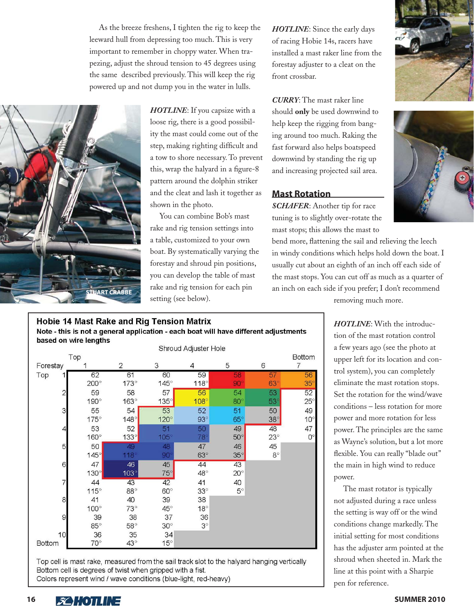As the breeze freshens, I tighten the rig to keep the leeward hull from depressing too much. This is very important to remember in choppy water. When trapezing, adjust the shroud tension to 45 degrees using the same described previously. This will keep the rig powered up and not dump you in the water in lulls.



*HOTLINE*: If you capsize with a loose rig, there is a good possibility the mast could come out of the step, making righting difficult and a tow to shore necessary. To prevent this, wrap the halyard in a figure-8 pattern around the dolphin striker and the cleat and lash it together as shown in the photo.

You can combine Bob's mast rake and rig tension settings into a table, customized to your own boat. By systematically varying the forestay and shroud pin positions, you can develop the table of mast rake and rig tension for each pin setting (see below).

*HOTLINE*: Since the early days of racing Hobie 14s, racers have installed a mast raker line from the forestay adjuster to a cleat on the front crossbar.

*CURRY*: The mast raker line should **only** be used downwind to help keep the rigging from banging around too much. Raking the fast forward also helps boatspeed downwind by standing the rig up and increasing projected sail area.

#### **Mast Rotation**

*SCHAFER*: Another tip for race tuning is to slightly over-rotate the mast stops; this allows the mast to

bend more, flattening the sail and relieving the leech in windy conditions which helps hold down the boat. I usually cut about an eighth of an inch off each side of the mast stops. You can cut off as much as a quarter of an inch on each side if you prefer; I don't recommend

**Hobie 14 Mast Rake and Rig Tension Matrix** Note - this is not a general application - each boat will have different adjustments based on wire lengths

|                                                                                                      |             |                | Shroud Adjuster Hole |                |              |            |                    |
|------------------------------------------------------------------------------------------------------|-------------|----------------|----------------------|----------------|--------------|------------|--------------------|
| Top                                                                                                  |             |                |                      |                |              |            | <b>Bottom</b>      |
| Forestay                                                                                             |             | $\overline{2}$ | 3                    | $\overline{4}$ | 5            | 6          | 7                  |
| Top<br>1                                                                                             | 62          | 61             | 60                   | 59             | 58           | 57         | 56                 |
|                                                                                                      | $200^\circ$ | $173^\circ$    | $145^\circ$          | $118^\circ$    | 90           | $63^\circ$ | $35^\circ$         |
| $\overline{2}$                                                                                       | 59          | 58             | 57                   | 56             | 54           | 53         | 52                 |
|                                                                                                      | $190^\circ$ | $163^\circ$    | $135^\circ$          | $108^\circ$    | $80^\circ$   | $53^\circ$ | $25^\circ$         |
| $\mathfrak{S}$                                                                                       | 55          | 54             | 53                   | 52             | 51           | 50         | 49                 |
|                                                                                                      | $175^\circ$ | $148^\circ$    | $120^\circ$          | $93^\circ$     | $65^\circ$   | $38^\circ$ | $10^{\circ}$       |
| $\overline{a}$                                                                                       | 53          | 52             | 51                   | 50             | 49           | 48         | 47                 |
|                                                                                                      | $160^\circ$ | $133^\circ$    | $105^\circ$          | $78^\circ$     | $50^\circ$   | $23^\circ$ | $\mathsf{O}^\circ$ |
| 5                                                                                                    | 50          | 49             | 48                   | 47             | 46           | 45         |                    |
|                                                                                                      | $145^\circ$ | 118            | 90                   | $63^\circ$     | $35^\circ$   | $8^\circ$  |                    |
| $\mathbf 6$                                                                                          | 47          | 46             | 45                   | 44             | 43           |            |                    |
|                                                                                                      | $130^\circ$ | $103^\circ$    | $75^\circ$           | $48^\circ$     | $20^{\circ}$ |            |                    |
| $\overline{7}$                                                                                       | 44          | 43             | 42                   | 41             | 40           |            |                    |
|                                                                                                      | $115^\circ$ | $88^\circ$     | $60^\circ$           | $33^\circ$     | $5^\circ$    |            |                    |
| $\bf{8}$                                                                                             | 41          | 40             | 39                   | 38             |              |            |                    |
|                                                                                                      | $100^\circ$ | $73^\circ$     | $45^{\circ}$         | $18^\circ$     |              |            |                    |
| $\mathsf{G}% _{T}=\mathsf{G}_{T}\!\left( a,b\right) ,\mathsf{G}=\mathsf{G}_{T}\!\left( a,b\right) ,$ | 39          | 38             | 37                   | 36             |              |            |                    |
|                                                                                                      | $85^\circ$  | $58^\circ$     | $30^\circ$           | $3^\circ$      |              |            |                    |
| 10                                                                                                   | 36          | 35             | 34                   |                |              |            |                    |
| Bottom                                                                                               | $70^\circ$  | $43^\circ$     | $15^\circ$           |                |              |            |                    |

Top cell is mast rake, measured from the sail track slot to the halyard hanging vertically Bottom cell is degrees of twist when gripped with a fist. Colors represent wind / wave conditions (blue-light, red-heavy)

removing much more.

*HOTLINE*: With the introduction of the mast rotation control a few years ago (see the photo at upper left for its location and control system), you can completely eliminate the mast rotation stops. Set the rotation for the wind/wave conditions – less rotation for more power and more rotation for less power. The principles are the same as Wayne's solution, but a lot more flexible. You can really "blade out" the main in high wind to reduce power.

The mast rotator is typically not adjusted during a race unless the setting is way off or the wind conditions change markedly. The initial setting for most conditions has the adjuster arm pointed at the shroud when sheeted in. Mark the line at this point with a Sharpie pen for reference.



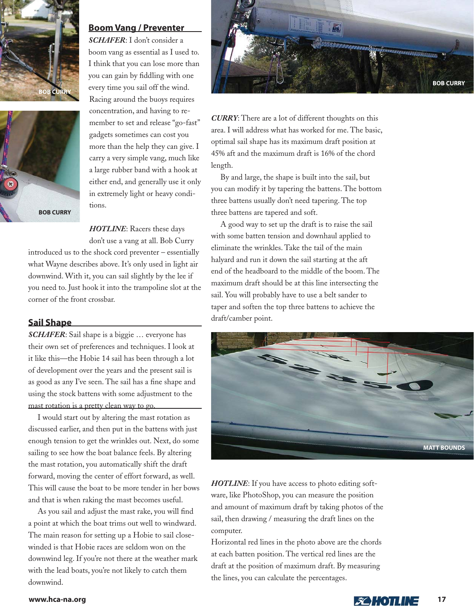



### **Boom Vang / Preventer**

*SCHAFER*: I don't consider a boom vang as essential as I used to. I think that you can lose more than you can gain by fiddling with one every time you sail off the wind. Racing around the buoys requires concentration, and having to remember to set and release "go-fast" gadgets sometimes can cost you more than the help they can give. I carry a very simple vang, much like a large rubber band with a hook at either end, and generally use it only in extremely light or heavy conditions.

### *HOTLINE*: Racers these days don't use a vang at all. Bob Curry

introduced us to the shock cord preventer – essentially what Wayne describes above. It's only used in light air downwind. With it, you can sail slightly by the lee if you need to. Just hook it into the trampoline slot at the corner of the front crossbar.

## **Sail Shape**

*SCHAFER*: Sail shape is a biggie … everyone has their own set of preferences and techniques. I look at it like this—the Hobie 14 sail has been through a lot of development over the years and the present sail is as good as any I've seen. The sail has a fine shape and using the stock battens with some adjustment to the mast rotation is a pretty clean way to go.

I would start out by altering the mast rotation as discussed earlier, and then put in the battens with just enough tension to get the wrinkles out. Next, do some sailing to see how the boat balance feels. By altering the mast rotation, you automatically shift the draft forward, moving the center of effort forward, as well. This will cause the boat to be more tender in her bows and that is when raking the mast becomes useful.

As you sail and adjust the mast rake, you will find a point at which the boat trims out well to windward. The main reason for setting up a Hobie to sail closewinded is that Hobie races are seldom won on the downwind leg. If you're not there at the weather mark with the lead boats, you're not likely to catch them downwind.



*CURRY*: There are a lot of different thoughts on this area. I will address what has worked for me. The basic, optimal sail shape has its maximum draft position at 45% aft and the maximum draft is 16% of the chord length.

By and large, the shape is built into the sail, but you can modify it by tapering the battens. The bottom three battens usually don't need tapering. The top three battens are tapered and soft.

A good way to set up the draft is to raise the sail with some batten tension and downhaul applied to eliminate the wrinkles. Take the tail of the main halyard and run it down the sail starting at the aft end of the headboard to the middle of the boom. The maximum draft should be at this line intersecting the sail. You will probably have to use a belt sander to taper and soften the top three battens to achieve the draft/camber point.



*HOTLINE*: If you have access to photo editing software, like PhotoShop, you can measure the position and amount of maximum draft by taking photos of the sail, then drawing / measuring the draft lines on the computer.

Horizontal red lines in the photo above are the chords at each batten position. The vertical red lines are the draft at the position of maximum draft. By measuring the lines, you can calculate the percentages.

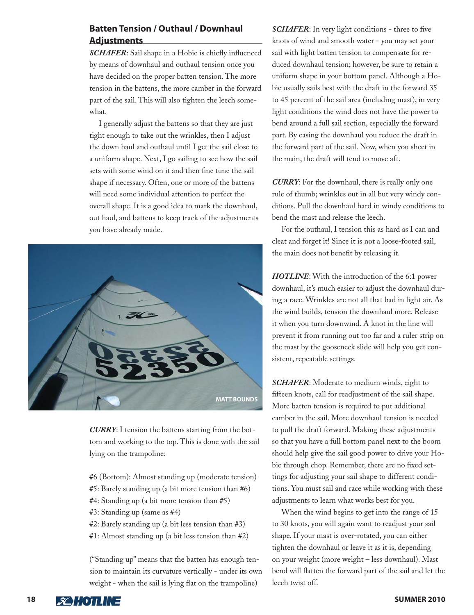# **Batten Tension / Outhaul / Downhaul Adjustments**

**SCHAFER:** Sail shape in a Hobie is chiefly influenced by means of downhaul and outhaul tension once you have decided on the proper batten tension. The more tension in the battens, the more camber in the forward part of the sail. This will also tighten the leech somewhat.

I generally adjust the battens so that they are just tight enough to take out the wrinkles, then I adjust the down haul and outhaul until I get the sail close to a uniform shape. Next, I go sailing to see how the sail sets with some wind on it and then fine tune the sail shape if necessary. Often, one or more of the battens will need some individual attention to perfect the overall shape. It is a good idea to mark the downhaul, out haul, and battens to keep track of the adjustments you have already made.



*CURRY*: I tension the battens starting from the bottom and working to the top. This is done with the sail lying on the trampoline:

- #6 (Bottom): Almost standing up (moderate tension)
- #5: Barely standing up (a bit more tension than #6)
- #4: Standing up (a bit more tension than #5)
- #3: Standing up (same as #4)
- #2: Barely standing up (a bit less tension than #3)
- #1: Almost standing up (a bit less tension than #2)

("Standing up" means that the batten has enough tension to maintain its curvature vertically - under its own weight - when the sail is lying flat on the trampoline)

**SCHAFER:** In very light conditions - three to five knots of wind and smooth water - you may set your sail with light batten tension to compensate for reduced downhaul tension; however, be sure to retain a uniform shape in your bottom panel. Although a Hobie usually sails best with the draft in the forward 35 to 45 percent of the sail area (including mast), in very light conditions the wind does not have the power to bend around a full sail section, especially the forward part. By easing the downhaul you reduce the draft in the forward part of the sail. Now, when you sheet in the main, the draft will tend to move aft.

*CURRY*: For the downhaul, there is really only one rule of thumb; wrinkles out in all but very windy conditions. Pull the downhaul hard in windy conditions to bend the mast and release the leech.

For the outhaul, I tension this as hard as I can and cleat and forget it! Since it is not a loose-footed sail, the main does not benefit by releasing it.

*HOTLINE*: With the introduction of the 6:1 power downhaul, it's much easier to adjust the downhaul during a race. Wrinkles are not all that bad in light air. As the wind builds, tension the downhaul more. Release it when you turn downwind. A knot in the line will prevent it from running out too far and a ruler strip on the mast by the gooseneck slide will help you get consistent, repeatable settings.

*SCHAFER*: Moderate to medium winds, eight to fifteen knots, call for readjustment of the sail shape. More batten tension is required to put additional camber in the sail. More downhaul tension is needed to pull the draft forward. Making these adjustments so that you have a full bottom panel next to the boom should help give the sail good power to drive your Hobie through chop. Remember, there are no fixed settings for adjusting your sail shape to different conditions. You must sail and race while working with these adjustments to learn what works best for you.

When the wind begins to get into the range of 15 to 30 knots, you will again want to readjust your sail shape. If your mast is over-rotated, you can either tighten the downhaul or leave it as it is, depending on your weight (more weight – less downhaul). Mast bend will flatten the forward part of the sail and let the leech twist off.